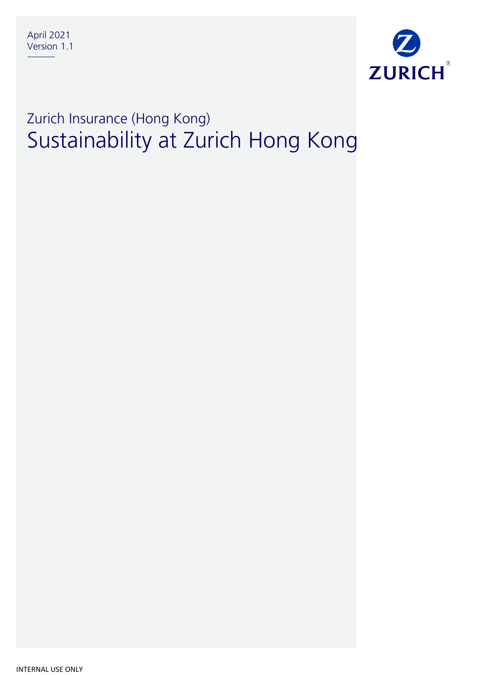

# Zurich Insurance (Hong Kong) Sustainability at Zurich Hong Kong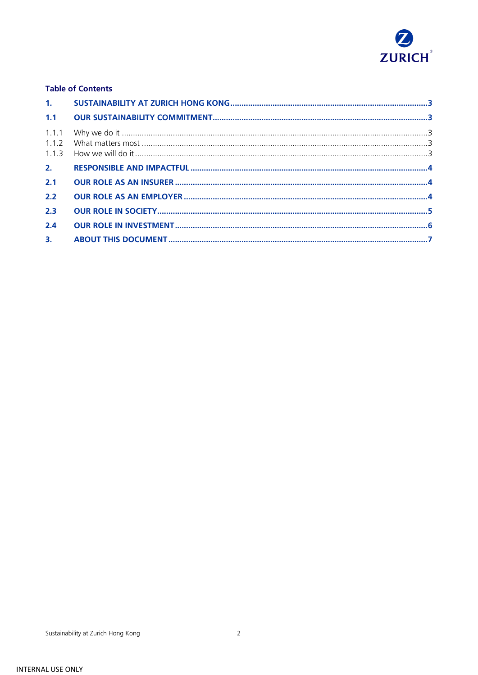

#### **Table of Contents**

| 2.1 |  |
|-----|--|
| 2.2 |  |
| 2.3 |  |
| 2.4 |  |
|     |  |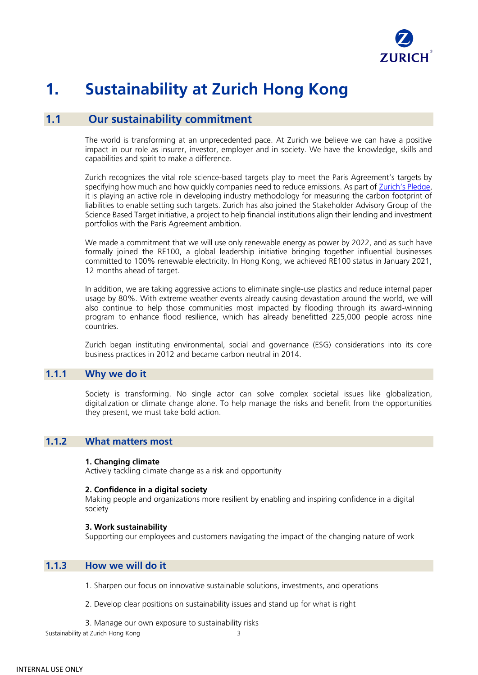

## <span id="page-2-0"></span>**1. Sustainability at Zurich Hong Kong**

## **1.1 Our sustainability commitment**

<span id="page-2-1"></span>The world is transforming at an unprecedented pace. At Zurich we believe we can have a positive impact in our role as insurer, investor, employer and in society. We have the knowledge, skills and capabilities and spirit to make a difference.

Zurich recognizes the vital role science-based targets play to meet the Paris Agreement's targets by specifying how much and how quickly companies need to reduce emissions. As part of [Zurich's Pledge](https://www.zurich.com/media/news-releases/2019/2019-0625-01?page_url_input_url=https%3a%2f%2fwww.zurich.com%2fcorporate%2fmedia%2fnews-releases%2f2019%2f2019-0625-01), it is playing an active role in developing industry methodology for measuring the carbon footprint of liabilities to enable setting such targets. Zurich has also joined the Stakeholder Advisory Group of the Science Based Target initiative, a project to help financial institutions align their lending and investment portfolios with the Paris Agreement ambition.

We made a commitment that we will use only renewable energy as power by 2022, and as such have formally joined the RE100, a global leadership initiative bringing together influential businesses committed to 100% renewable electricity. In Hong Kong, we achieved RE100 status in January 2021, 12 months ahead of target.

In addition, we are taking aggressive actions to eliminate single-use plastics and reduce internal paper usage by 80%. With extreme weather events already causing devastation around the world, we will also continue to help those communities most impacted by flooding through its award-winning program to enhance flood resilience, which has already benefitted 225,000 people across nine countries.

Zurich began instituting environmental, social and governance (ESG) considerations into its core business practices in 2012 and became carbon neutral in 2014.

#### <span id="page-2-2"></span>**1.1.1 Why we do it**

Society is transforming. No single actor can solve complex societal issues like globalization, digitalization or climate change alone. To help manage the risks and benefit from the opportunities they present, we must take bold action.

#### <span id="page-2-3"></span>**1.1.2 What matters most**

#### **1. Changing climate**

Actively tackling climate change as a risk and opportunity

#### **2. Confidence in a digital society**

Making people and organizations more resilient by enabling and inspiring confidence in a digital society

#### **3. Work sustainability**

Supporting our employees and customers navigating the impact of the changing nature of work

#### <span id="page-2-4"></span>**1.1.3 How we will do it**

1. Sharpen our focus on innovative sustainable solutions, investments, and operations

2. Develop clear positions on sustainability issues and stand up for what is right

3. Manage our own exposure to sustainability risks

Sustainability at Zurich Hong Kong 3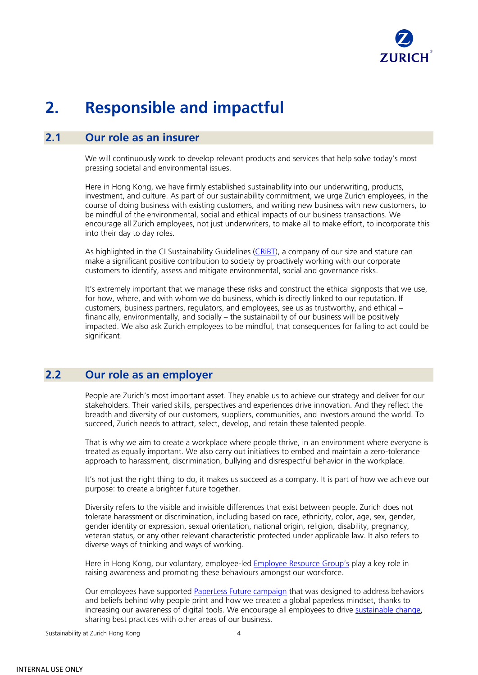

## <span id="page-3-0"></span>**2. Responsible and impactful**

### <span id="page-3-1"></span>**2.1 Our role as an insurer**

We will continuously work to develop relevant products and services that help solve today's most pressing societal and environmental issues.

Here in Hong Kong, we have firmly established sustainability into our underwriting, products, investment, and culture. As part of our sustainability commitment, we urge Zurich employees, in the course of doing business with existing customers, and writing new business with new customers, to be mindful of the environmental, social and ethical impacts of our business transactions. We encourage all Zurich employees, not just underwriters, to make all to make effort, to incorporate this into their day to day roles.

As highlighted in the CI Sustainability Guidelines [\(CRiBT\)](https://zurichinsurance.sharepoint.com/sites/globuz20app/Documents/CRiBT%20Combined%20Guidance.pdf), a company of our size and stature can make a significant positive contribution to society by proactively working with our corporate customers to identify, assess and mitigate environmental, social and governance risks.

It's extremely important that we manage these risks and construct the ethical signposts that we use, for how, where, and with whom we do business, which is directly linked to our reputation. If customers, business partners, regulators, and employees, see us as trustworthy, and ethical – financially, environmentally, and socially – the sustainability of our business will be positively impacted. We also ask Zurich employees to be mindful, that consequences for failing to act could be significant.

### <span id="page-3-2"></span>**2.2 Our role as an employer**

People are Zurich's most important asset. They enable us to achieve our strategy and deliver for our stakeholders. Their varied skills, perspectives and experiences drive innovation. And they reflect the breadth and diversity of our customers, suppliers, communities, and investors around the world. To succeed, Zurich needs to attract, select, develop, and retain these talented people.

That is why we aim to create a workplace where people thrive, in an environment where everyone is treated as equally important. We also carry out initiatives to embed and maintain a zero-tolerance approach to harassment, discrimination, bullying and disrespectful behavior in the workplace.

It's not just the right thing to do, it makes us succeed as a company. It is part of how we achieve our purpose: to create a brighter future together.

Diversity refers to the visible and invisible differences that exist between people. Zurich does not tolerate harassment or discrimination, including based on race, ethnicity, color, age, sex, gender, gender identity or expression, sexual orientation, national origin, religion, disability, pregnancy, veteran status, or any other relevant characteristic protected under applicable law. It also refers to diverse ways of thinking and ways of working.

Here in Hong Kong, our voluntary, employee-led **Employee Resource Group's** play a key role in raising awareness and promoting these behaviours amongst our workforce.

Our employees have supported [PaperLess Future campaign](https://zurichinsurancenam.sharepoint.com/sites/GroupEnvironmentalPerformance/SitePages/PaperLess-Future-Campaign.aspx) that was designed to address behaviors and beliefs behind why people print and how we created a global paperless mindset, thanks to increasing our awareness of digital tools. We encourage all employees to drive [sustainable change,](https://zurichinsurancenam.sharepoint.com/sites/GroupEnvironmentalPerformance/SitePages/Employee-Engagement.aspx?web=1) sharing best practices with other areas of our business.

Sustainability at Zurich Hong Kong 4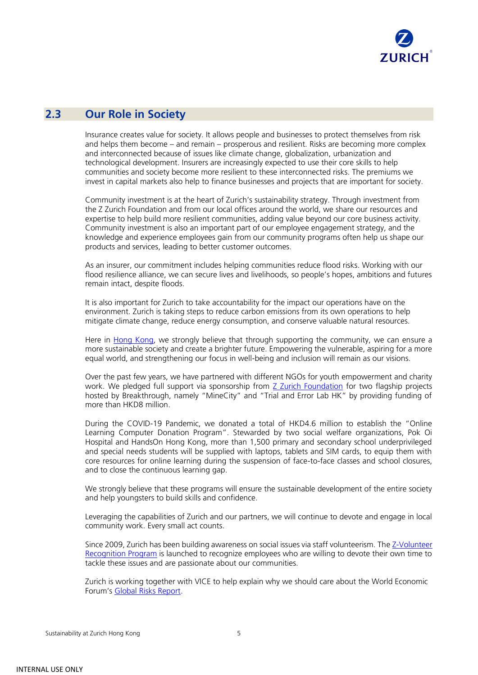

## <span id="page-4-0"></span>**2.3 Our Role in Society**

Insurance creates value for society. It allows people and businesses to protect themselves from risk and helps them become – and remain – prosperous and resilient. Risks are becoming more complex and interconnected because of issues like climate change, globalization, urbanization and technological development. Insurers are increasingly expected to use their core skills to help communities and society become more resilient to these interconnected risks. The premiums we invest in capital markets also help to finance businesses and projects that are important for society.

Community investment is at the heart of Zurich's sustainability strategy. Through investment from the Z Zurich Foundation and from our local offices around the world, we share our resources and expertise to help build more resilient communities, adding value beyond our core business activity. Community investment is also an important part of our employee engagement strategy, and the knowledge and experience employees gain from our community programs often help us shape our products and services, leading to better customer outcomes.

As an insurer, our commitment includes helping communities reduce flood risks. Working with our flood resilience alliance, we can secure lives and livelihoods, so people's hopes, ambitions and futures remain intact, despite floods.

It is also important for Zurich to take accountability for the impact our operations have on the environment. Zurich is taking steps to reduce carbon emissions from its own operations to help mitigate climate change, reduce energy consumption, and conserve valuable natural resources.

Here in [Hong Kong,](https://zurich.workplace.com/groups/303293883608293/) we strongly believe that through supporting the community, we can ensure a more sustainable society and create a brighter future. Empowering the vulnerable, aspiring for a more equal world, and strengthening our focus in well-being and inclusion will remain as our visions.

Over the past few years, we have partnered with different NGOs for youth empowerment and charity work. We pledged full support via sponsorship from [Z Zurich Foundation](https://www.zurich.com/en/sustainability/investing-in-communities/z-zurich-foundation) for two flagship projects hosted by Breakthrough, namely "MineCity" and "Trial and Error Lab HK" by providing funding of more than HKD8 million.

During the COVID-19 Pandemic, we donated a total of HKD4.6 million to establish the "Online Learning Computer Donation Program". Stewarded by two social welfare organizations, Pok Oi Hospital and HandsOn Hong Kong, more than 1,500 primary and secondary school underprivileged and special needs students will be supplied with laptops, tablets and SIM cards, to equip them with core resources for online learning during the suspension of face-to-face classes and school closures, and to close the continuous learning gap.

We strongly believe that these programs will ensure the sustainable development of the entire society and help youngsters to build skills and confidence.

Leveraging the capabilities of Zurich and our partners, we will continue to devote and engage in local community work. Every small act counts.

Since 2009, Zurich has been building awareness on social issues via staff volunteerism. Th[e Z-Volunteer](https://ziapac.sharepoint.com/sites/BU-HK-BusinessAreas/SitePages/Z-Volunteer-recognition-program-2020.aspx)  [Recognition Program](https://ziapac.sharepoint.com/sites/BU-HK-BusinessAreas/SitePages/Z-Volunteer-recognition-program-2020.aspx) is launched to recognize employees who are willing to devote their own time to tackle these issues and are passionate about our communities.

Zurich is working together with VICE to help explain why we should care about the World Economic Forum's [Global Risks Report.](https://www.vice.com/en_uk/partners/global-risk-report-2020)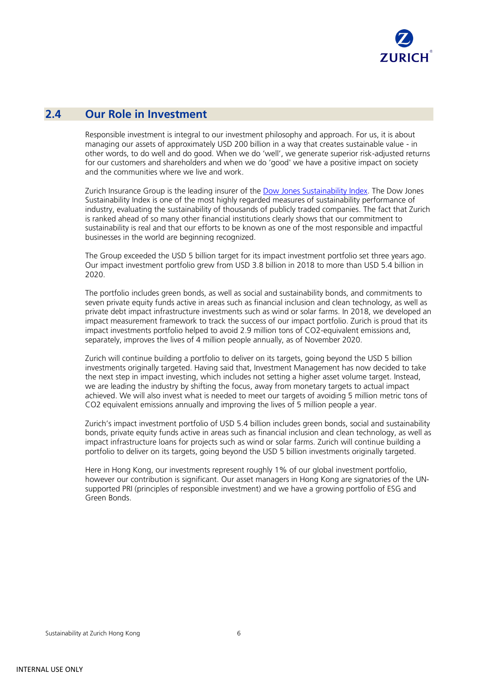

### <span id="page-5-0"></span>**2.4 Our Role in Investment**

Responsible investment is integral to our investment philosophy and approach. For us, it is about managing our assets of approximately USD 200 billion in a way that creates sustainable value - in other words, to do well and do good. When we do 'well', we generate superior risk-adjusted returns for our customers and shareholders and when we do 'good' we have a positive impact on society and the communities where we live and work.

Zurich Insurance Group is the leading insurer of the [Dow Jones Sustainability Index.](https://www.spglobal.com/esg/csa/csa-resources/industry-leaders?_lrsc=718f5c20-8f43-482b-88f3-0b480222be1a&WT.mc_id=z_Elevate_nac_b2b_sm_li_elevate) The Dow Jones Sustainability Index is one of the most highly regarded measures of sustainability performance of industry, evaluating the sustainability of thousands of publicly traded companies. The fact that Zurich is ranked ahead of so many other financial institutions clearly shows that our commitment to sustainability is real and that our efforts to be known as one of the most responsible and impactful businesses in the world are beginning recognized.

The Group exceeded the USD 5 billion target for its impact investment portfolio set three years ago. Our impact investment portfolio grew from USD 3.8 billion in 2018 to more than USD 5.4 billion in 2020.

The portfolio includes green bonds, as well as social and sustainability bonds, and commitments to seven private equity funds active in areas such as financial inclusion and clean technology, as well as private debt impact infrastructure investments such as wind or solar farms. In 2018, we developed an impact measurement framework to track the success of our impact portfolio. Zurich is proud that its impact investments portfolio helped to avoid 2.9 million tons of CO2-equivalent emissions and, separately, improves the lives of 4 million people annually, as of November 2020.

Zurich will continue building a portfolio to deliver on its targets, going beyond the USD 5 billion investments originally targeted. Having said that, Investment Management has now decided to take the next step in impact investing, which includes not setting a higher asset volume target. Instead, we are leading the industry by shifting the focus, away from monetary targets to actual impact achieved. We will also invest what is needed to meet our targets of avoiding 5 million metric tons of CO2 equivalent emissions annually and improving the lives of 5 million people a year.

Zurich's impact investment portfolio of USD 5.4 billion includes green bonds, social and sustainability bonds, private equity funds active in areas such as financial inclusion and clean technology, as well as impact infrastructure loans for projects such as wind or solar farms. Zurich will continue building a portfolio to deliver on its targets, going beyond the USD 5 billion investments originally targeted.

Here in Hong Kong, our investments represent roughly 1% of our global investment portfolio, however our contribution is significant. Our asset managers in Hong Kong are signatories of the UNsupported PRI (principles of responsible investment) and we have a growing portfolio of ESG and Green Bonds.